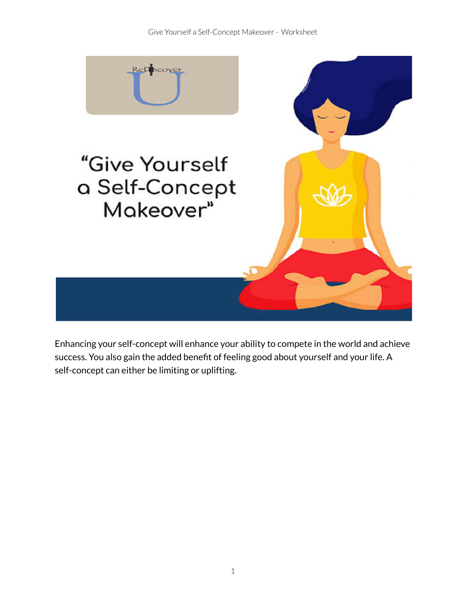

Enhancing your self-concept will enhance your ability to compete in the world and achieve success. You also gain the added benefit of feeling good about yourself and your life. A self-concept can either be limiting or uplifting.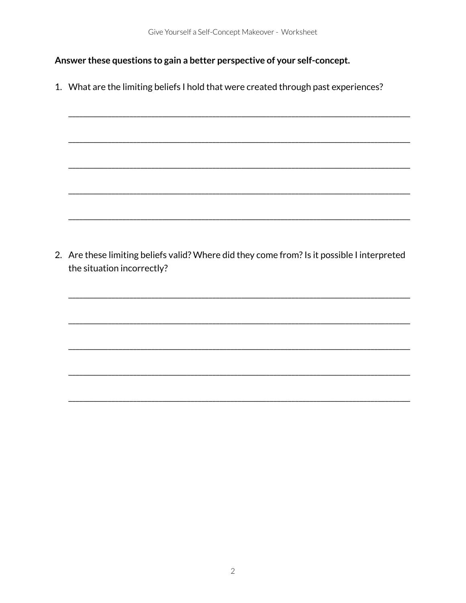Answer these questions to gain a better perspective of your self-concept.

1. What are the limiting beliefs I hold that were created through past experiences?

2. Are these limiting beliefs valid? Where did they come from? Is it possible I interpreted the situation incorrectly?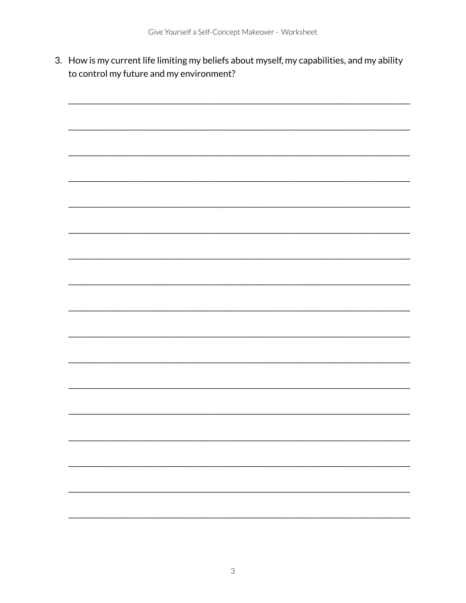3. How is my current life limiting my beliefs about myself, my capabilities, and my ability to control my future and my environment?

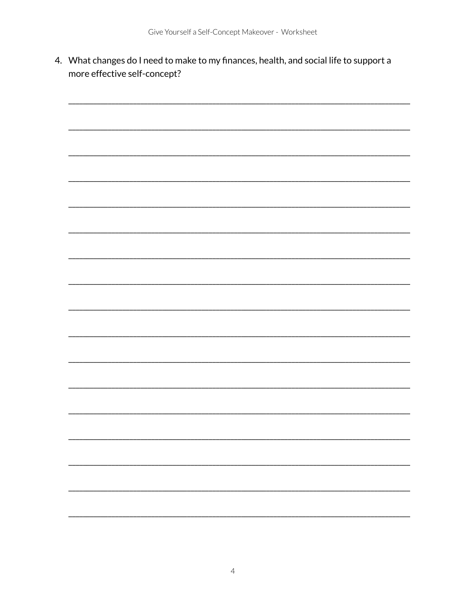4. What changes do I need to make to my finances, health, and social life to support a more effective self-concept?

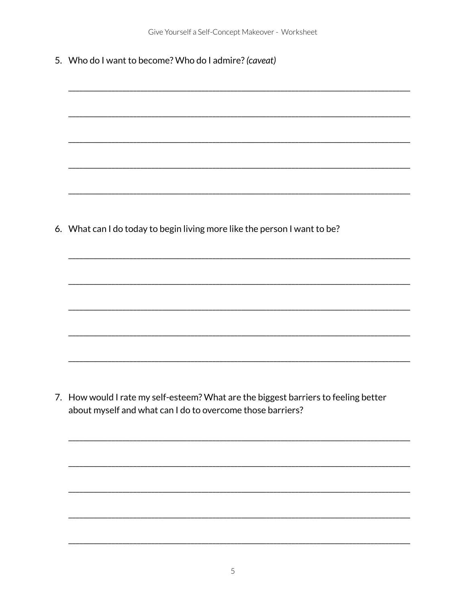5. Who do I want to become? Who do I admire? (caveat)

6. What can I do today to begin living more like the person I want to be?

7. How would I rate my self-esteem? What are the biggest barriers to feeling better about myself and what can I do to overcome those barriers?